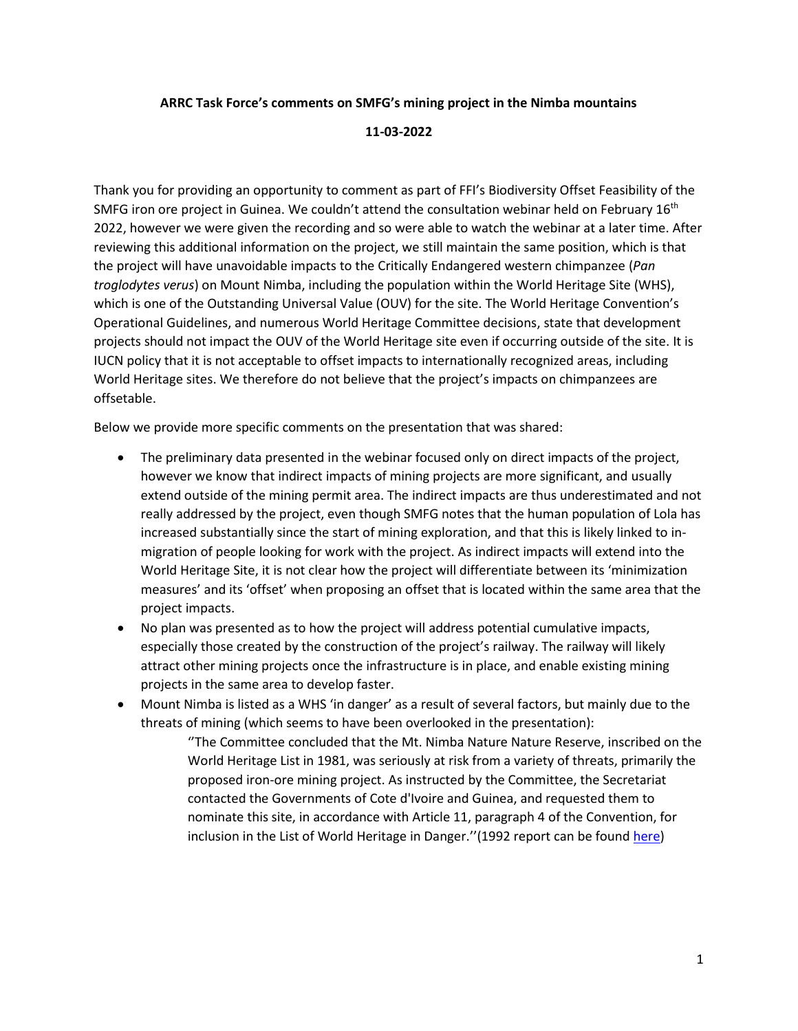## **ARRC Task Force's comments on SMFG's mining project in the Nimba mountains**

## **11-03-2022**

Thank you for providing an opportunity to comment as part of FFI's Biodiversity Offset Feasibility of the SMFG iron ore project in Guinea. We couldn't attend the consultation webinar held on February 16<sup>th</sup> 2022, however we were given the recording and so were able to watch the webinar at a later time. After reviewing this additional information on the project, we still maintain the same position, which is that the project will have unavoidable impacts to the Critically Endangered western chimpanzee (*Pan troglodytes verus*) on Mount Nimba, including the population within the World Heritage Site (WHS), which is one of the Outstanding Universal Value (OUV) for the site. The World Heritage Convention's Operational Guidelines, and numerous World Heritage Committee decisions, state that development projects should not impact the OUV of the World Heritage site even if occurring outside of the site. It is IUCN policy that it is not acceptable to offset impacts to internationally recognized areas, including World Heritage sites. We therefore do not believe that the project's impacts on chimpanzees are offsetable.

Below we provide more specific comments on the presentation that was shared:

- The preliminary data presented in the webinar focused only on direct impacts of the project, however we know that indirect impacts of mining projects are more significant, and usually extend outside of the mining permit area. The indirect impacts are thus underestimated and not really addressed by the project, even though SMFG notes that the human population of Lola has increased substantially since the start of mining exploration, and that this is likely linked to inmigration of people looking for work with the project. As indirect impacts will extend into the World Heritage Site, it is not clear how the project will differentiate between its 'minimization measures' and its 'offset' when proposing an offset that is located within the same area that the project impacts.
- No plan was presented as to how the project will address potential cumulative impacts, especially those created by the construction of the project's railway. The railway will likely attract other mining projects once the infrastructure is in place, and enable existing mining projects in the same area to develop faster.
- Mount Nimba is listed as a WHS 'in danger' as a result of several factors, but mainly due to the threats of mining (which seems to have been overlooked in the presentation):

''The Committee concluded that the Mt. Nimba Nature Nature Reserve, inscribed on the World Heritage List in 1981, was seriously at risk from a variety of threats, primarily the proposed iron-ore mining project. As instructed by the Committee, the Secretariat contacted the Governments of Cote d'Ivoire and Guinea, and requested them to nominate this site, in accordance with Article 11, paragraph 4 of the Convention, for inclusion in the List of World Heritage in Danger.''(1992 report can be found [here\)](https://whc.unesco.org/en/soc/1697)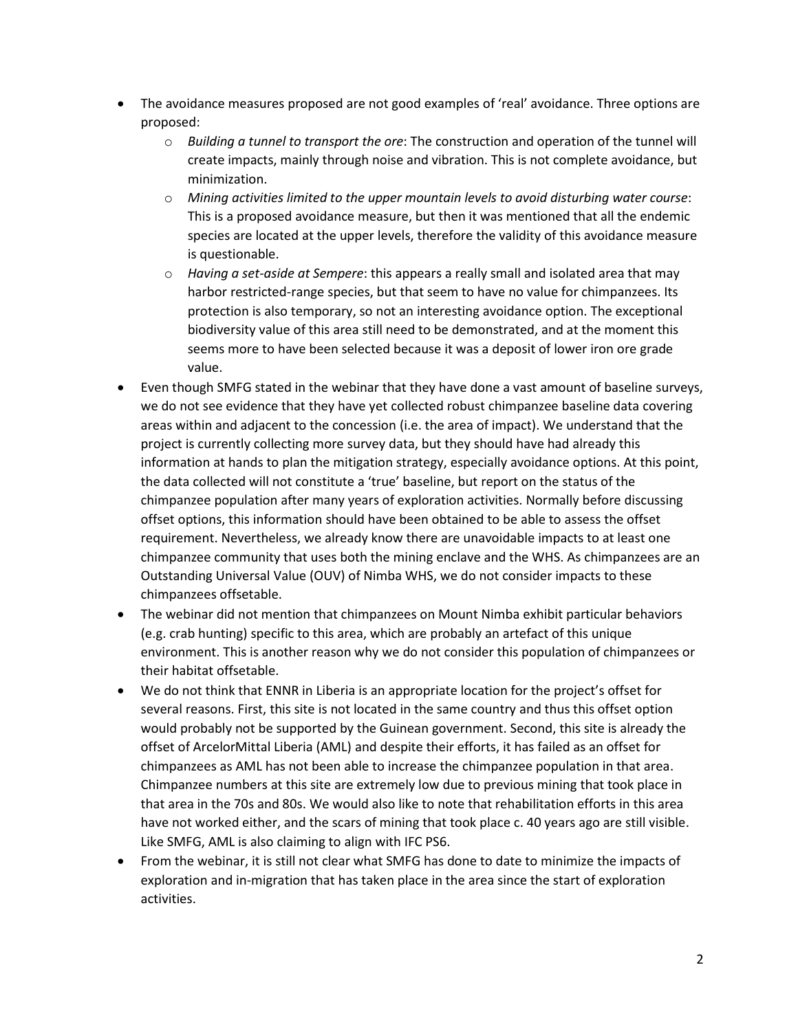- The avoidance measures proposed are not good examples of 'real' avoidance. Three options are proposed:
	- o *Building a tunnel to transport the ore*: The construction and operation of the tunnel will create impacts, mainly through noise and vibration. This is not complete avoidance, but minimization.
	- o *Mining activities limited to the upper mountain levels to avoid disturbing water course*: This is a proposed avoidance measure, but then it was mentioned that all the endemic species are located at the upper levels, therefore the validity of this avoidance measure is questionable.
	- o *Having a set-aside at Sempere*: this appears a really small and isolated area that may harbor restricted-range species, but that seem to have no value for chimpanzees. Its protection is also temporary, so not an interesting avoidance option. The exceptional biodiversity value of this area still need to be demonstrated, and at the moment this seems more to have been selected because it was a deposit of lower iron ore grade value.
- Even though SMFG stated in the webinar that they have done a vast amount of baseline surveys, we do not see evidence that they have yet collected robust chimpanzee baseline data covering areas within and adjacent to the concession (i.e. the area of impact). We understand that the project is currently collecting more survey data, but they should have had already this information at hands to plan the mitigation strategy, especially avoidance options. At this point, the data collected will not constitute a 'true' baseline, but report on the status of the chimpanzee population after many years of exploration activities. Normally before discussing offset options, this information should have been obtained to be able to assess the offset requirement. Nevertheless, we already know there are unavoidable impacts to at least one chimpanzee community that uses both the mining enclave and the WHS. As chimpanzees are an Outstanding Universal Value (OUV) of Nimba WHS, we do not consider impacts to these chimpanzees offsetable.
- The webinar did not mention that chimpanzees on Mount Nimba exhibit particular behaviors (e.g. crab hunting) specific to this area, which are probably an artefact of this unique environment. This is another reason why we do not consider this population of chimpanzees or their habitat offsetable.
- We do not think that ENNR in Liberia is an appropriate location for the project's offset for several reasons. First, this site is not located in the same country and thus this offset option would probably not be supported by the Guinean government. Second, this site is already the offset of ArcelorMittal Liberia (AML) and despite their efforts, it has failed as an offset for chimpanzees as AML has not been able to increase the chimpanzee population in that area. Chimpanzee numbers at this site are extremely low due to previous mining that took place in that area in the 70s and 80s. We would also like to note that rehabilitation efforts in this area have not worked either, and the scars of mining that took place c. 40 years ago are still visible. Like SMFG, AML is also claiming to align with IFC PS6.
- From the webinar, it is still not clear what SMFG has done to date to minimize the impacts of exploration and in-migration that has taken place in the area since the start of exploration activities.